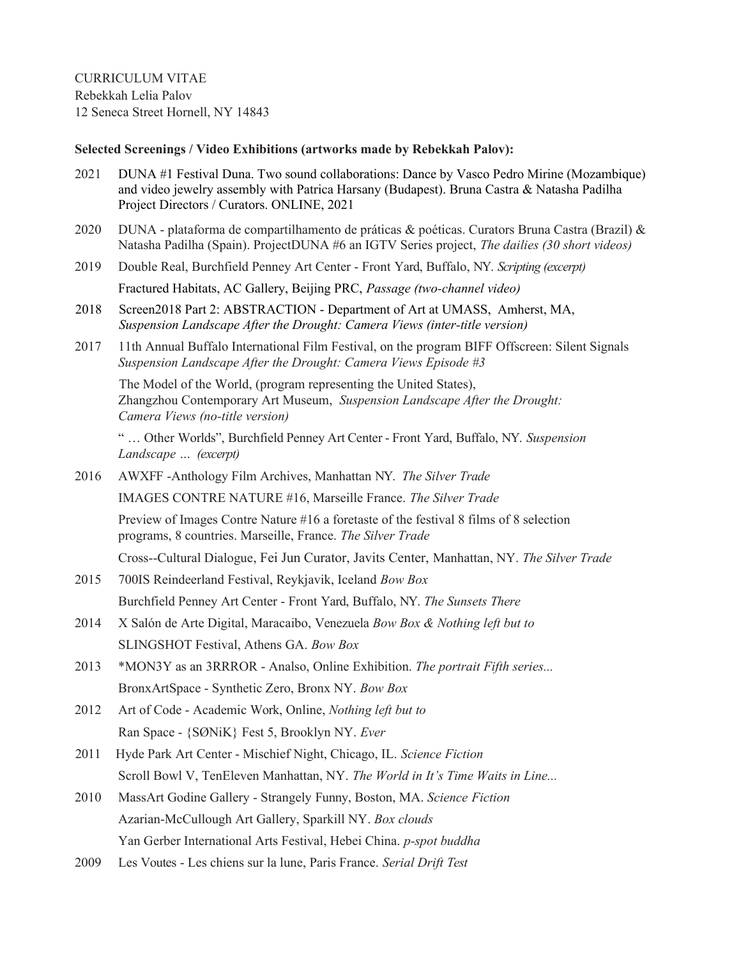CURRICULUM VITAE Rebekkah Lelia Palov 12 Seneca Street Hornell, NY 14843

## **Selected Screenings / Video Exhibitions (artworks made by Rebekkah Palov):**

- 2021 DUNA #1 Festival Duna. Two sound collaborations: Dance by Vasco Pedro Mirine (Mozambique) and video jewelry assembly with Patrica Harsany (Budapest). Bruna Castra & Natasha Padilha Project Directors / Curators. ONLINE, 2021
- 2020 DUNA plataforma de compartilhamento de práticas & poéticas. Curators Bruna Castra (Brazil) & Natasha Padilha (Spain). ProjectDUNA #6 an IGTV Series project, *The dailies (30 short videos)*
- 2019 Double Real, Burchfield Penney Art Center Front Yard, Buffalo, NY. *Scripting (excerpt)* Fractured Habitats, AC Gallery, Beijing PRC, *Passage (two-channel video)*
- 2018 Screen2018 Part 2: ABSTRACTION Department of Art at UMASS, Amherst, MA,  *Suspension Landscape After the Drought: Camera Views (inter-title version)*
- 2017 11th Annual Buffalo International Film Festival, on the program BIFF Offscreen: Silent Signals *Suspension Landscape After the Drought: Camera Views Episode #3*

 The Model of the World, (program representing the United States), Zhangzhou Contemporary Art Museum, *Suspension Landscape After the Drought: Camera Views (no-title version)*

" … Other Worlds", Burchfield Penney Art Center - Front Yard, Buffalo, NY. *Suspension Landscape … (excerpt)*

2016 AWXFF -Anthology Film Archives, Manhattan NY. *The Silver Trade*

IMAGES CONTRE NATURE #16, Marseille France. *The Silver Trade*

Preview of Images Contre Nature #16 a foretaste of the festival 8 films of 8 selection programs, 8 countries. Marseille, France. *The Silver Trade*

Cross--Cultural Dialogue, Fei Jun Curator, Javits Center, Manhattan, NY. *The Silver Trade*

- 2015 700IS Reindeerland Festival, Reykjavik, Iceland *Bow Box* Burchfield Penney Art Center - Front Yard, Buffalo, NY. *The Sunsets There*
- 2014 X Salón de Arte Digital, Maracaibo, Venezuela *Bow Box & Nothing left but to* SLINGSHOT Festival, Athens GA. *Bow Box*
- 2013 \*MON3Y as an 3RRROR Analso, Online Exhibition. *The portrait Fifth series...* BronxArtSpace - Synthetic Zero, Bronx NY. *Bow Box*
- 2012 Art of Code Academic Work, Online, *Nothing left but to* Ran Space - {SØNiK} Fest 5, Brooklyn NY. *Ever*
- 2011 Hyde Park Art Center Mischief Night, Chicago, IL. *Science Fiction* Scroll Bowl V, TenEleven Manhattan, NY. *The World in It's Time Waits in Line...*
- 2010 MassArt Godine Gallery Strangely Funny, Boston, MA. *Science Fiction* Azarian-McCullough Art Gallery, Sparkill NY. *Box clouds* Yan Gerber International Arts Festival, Hebei China. *p-spot buddha*
- 2009 Les Voutes Les chiens sur la lune, Paris France. *Serial Drift Test*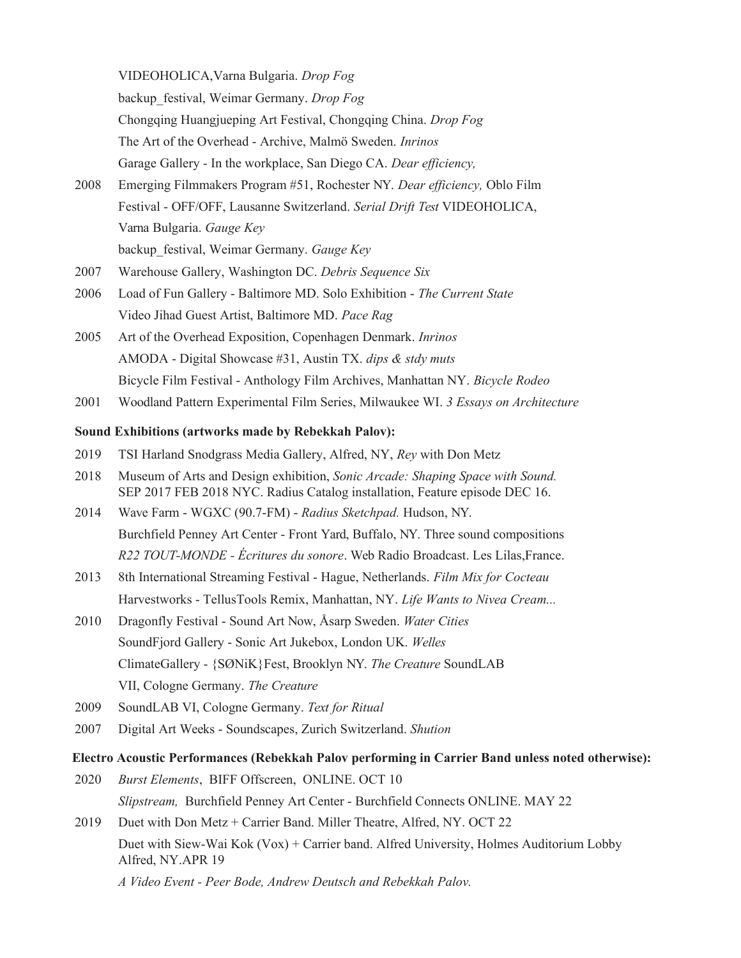VIDEOHOLICA,Varna Bulgaria. *Drop Fog*

backup\_festival, Weimar Germany. *Drop Fog*

Chongqing Huangjueping Art Festival, Chongqing China. *Drop Fog*

The Art of the Overhead - Archive, Malmö Sweden. *Inrinos*

Garage Gallery - In the workplace, San Diego CA. *Dear efficiency,*

- 2008 Emerging Filmmakers Program #51, Rochester NY. *Dear efficiency,* Oblo Film Festival - OFF/OFF, Lausanne Switzerland. *Serial Drift Test* VIDEOHOLICA, Varna Bulgaria. *Gauge Key* backup\_festival, Weimar Germany. *Gauge Key*
- 2007 Warehouse Gallery, Washington DC. *Debris Sequence Six*
- 2006 Load of Fun Gallery Baltimore MD. Solo Exhibition *The Current State* Video Jihad Guest Artist, Baltimore MD. *Pace Rag*
- 2005 Art of the Overhead Exposition, Copenhagen Denmark. *Inrinos* AMODA - Digital Showcase #31, Austin TX. *dips & stdy muts* Bicycle Film Festival - Anthology Film Archives, Manhattan NY. *Bicycle Rodeo*
- 2001 Woodland Pattern Experimental Film Series, Milwaukee WI. *3 Essays on Architecture*

# **Sound Exhibitions (artworks made by Rebekkah Palov):**

- 2019 TSI Harland Snodgrass Media Gallery, Alfred, NY, *Rey* with Don Metz
- 2018 Museum of Arts and Design exhibition, *Sonic Arcade: Shaping Space with Sound.* SEP 2017 FEB 2018 NYC. Radius Catalog installation, Feature episode DEC 16.
- 2014 Wave Farm WGXC (90.7-FM) *Radius Sketchpad.* Hudson, NY. Burchfield Penney Art Center - Front Yard, Buffalo, NY. Three sound compositions *R22 TOUT-MONDE - Écritures du sonore*. Web Radio Broadcast. Les Lilas,France.
- 2013 8th International Streaming Festival Hague, Netherlands. *Film Mix for Cocteau* Harvestworks - TellusTools Remix, Manhattan, NY. *Life Wants to Nivea Cream...*
- 2010 Dragonfly Festival Sound Art Now, Åsarp Sweden. *Water Cities*  SoundFjord Gallery - Sonic Art Jukebox, London UK. *Welles* ClimateGallery - {SØNiK}Fest, Brooklyn NY. *The Creature* SoundLAB VII, Cologne Germany. *The Creature*
- 2009 SoundLAB VI, Cologne Germany. *Text for Ritual*
- 2007 Digital Art Weeks Soundscapes, Zurich Switzerland. *Shution*

# **Electro Acoustic Performances (Rebekkah Palov performing in Carrier Band unless noted otherwise):**

- 2020 *Burst Elements*, BIFF Offscreen, ONLINE. OCT 10 *Slipstream,* Burchfield Penney Art Center - Burchfield Connects ONLINE. MAY 22
- 2019 Duet with Don Metz + Carrier Band. Miller Theatre, Alfred, NY. OCT 22 Duet with Siew-Wai Kok (Vox) + Carrier band. Alfred University, Holmes Auditorium Lobby Alfred, NY.APR 19

*A Video Event - Peer Bode, Andrew Deutsch and Rebekkah Palov.*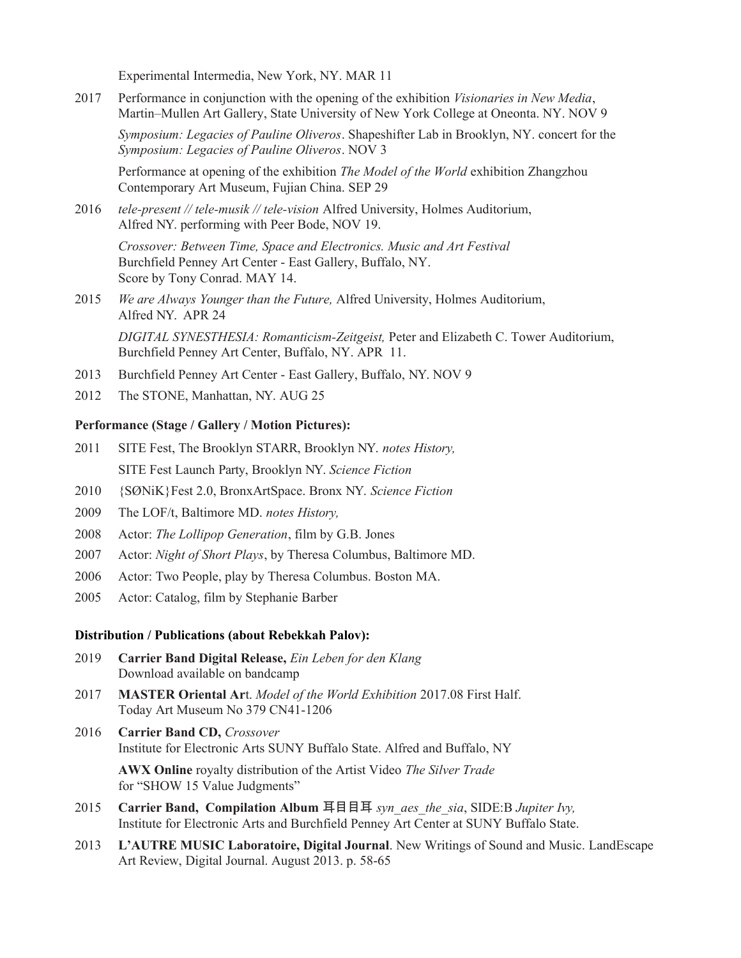Experimental Intermedia, New York, NY. MAR 11

2017 Performance in conjunction with the opening of the exhibition *Visionaries in New Media*, Martin–Mullen Art Gallery, State University of New York College at Oneonta. NY. NOV 9

*Symposium: Legacies of Pauline Oliveros*. Shapeshifter Lab in Brooklyn, NY. concert for the *Symposium: Legacies of Pauline Oliveros*. NOV 3

Performance at opening of the exhibition *The Model of the World* exhibition Zhangzhou Contemporary Art Museum, Fujian China. SEP 29

2016 *tele-present // tele-musik // tele-vision* Alfred University, Holmes Auditorium, Alfred NY. performing with Peer Bode, NOV 19.

*Crossover: Between Time, Space and Electronics. Music and Art Festival* Burchfield Penney Art Center - East Gallery, Buffalo, NY. Score by Tony Conrad. MAY 14.

2015 *We are Always Younger than the Future,* Alfred University, Holmes Auditorium, Alfred NY. APR 24

*DIGITAL SYNESTHESIA: Romanticism-Zeitgeist,* Peter and Elizabeth C. Tower Auditorium, Burchfield Penney Art Center, Buffalo, NY. APR 11.

- 2013 Burchfield Penney Art Center East Gallery, Buffalo, NY. NOV 9
- 2012 The STONE, Manhattan, NY. AUG 25

## **Performance (Stage / Gallery / Motion Pictures):**

- 2011 SITE Fest, The Brooklyn STARR, Brooklyn NY. *notes History,* SITE Fest Launch Party, Brooklyn NY. *Science Fiction*
- 2010 {SØNiK}Fest 2.0, BronxArtSpace. Bronx NY. *Science Fiction*
- 2009 The LOF/t, Baltimore MD. *notes History,*
- 2008 Actor: *The Lollipop Generation*, film by G.B. Jones
- 2007 Actor: *Night of Short Plays*, by Theresa Columbus, Baltimore MD.
- 2006 Actor: Two People, play by Theresa Columbus. Boston MA.
- 2005 Actor: Catalog, film by Stephanie Barber

#### **Distribution / Publications (about Rebekkah Palov):**

- 2019 **Carrier Band Digital Release,** *Ein Leben for den Klang* Download available on bandcamp
- 2017 **MASTER Oriental Ar**t. *Model of the World Exhibition* 2017.08 First Half. Today Art Museum No 379 CN41-1206
- 2016 **Carrier Band CD,** *Crossover* Institute for Electronic Arts SUNY Buffalo State. Alfred and Buffalo, NY **AWX Online** royalty distribution of the Artist Video *The Silver Trade*

for "SHOW 15 Value Judgments"

- 2015 **Carrier Band, Compilation Album** 耳目目耳 *syn\_aes\_the\_sia*, SIDE:B *Jupiter Ivy,* Institute for Electronic Arts and Burchfield Penney Art Center at SUNY Buffalo State.
- 2013 **L'AUTRE MUSIC Laboratoire, Digital Journal**. New Writings of Sound and Music. LandEscape Art Review, Digital Journal. August 2013. p. 58-65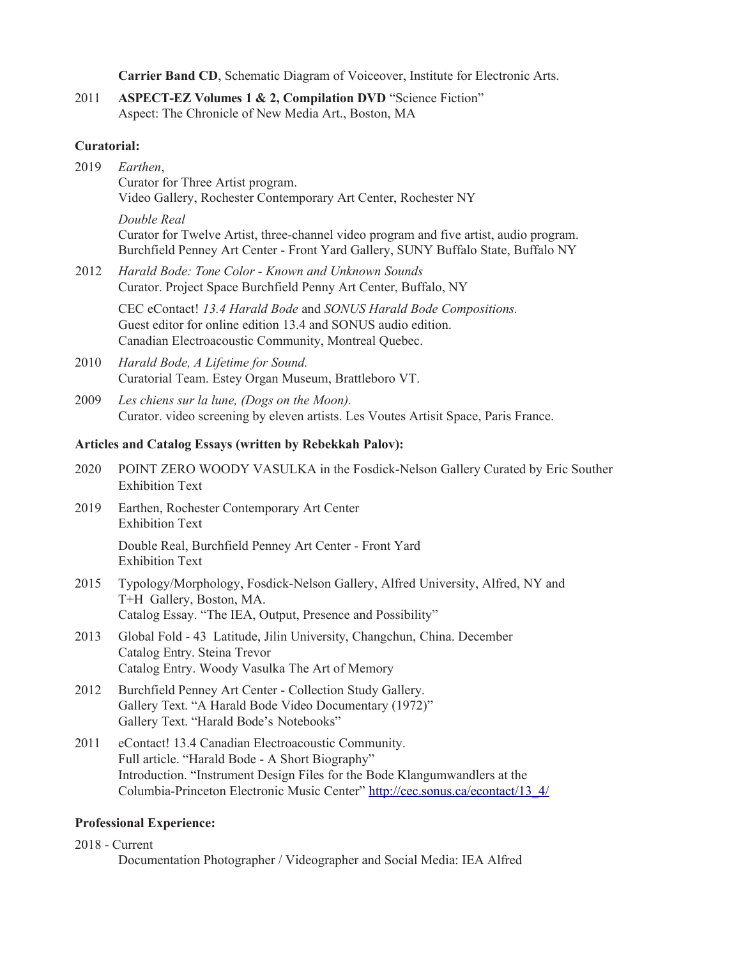**Carrier Band CD**, Schematic Diagram of Voiceover, Institute for Electronic Arts.

2011 **ASPECT-EZ Volumes 1 & 2, Compilation DVD** "Science Fiction" Aspect: The Chronicle of New Media Art., Boston, MA

## **Curatorial:**

- 2019 *Earthen*, Curator for Three Artist program. Video Gallery, Rochester Contemporary Art Center, Rochester NY *Double Real* Curator for Twelve Artist, three-channel video program and five artist, audio program. Burchfield Penney Art Center - Front Yard Gallery, SUNY Buffalo State, Buffalo NY
- 2012 *Harald Bode: Tone Color Known and Unknown Sounds* Curator. Project Space Burchfield Penny Art Center, Buffalo, NY

CEC eContact! *13.4 Harald Bode* and *SONUS Harald Bode Compositions.* Guest editor for online edition 13.4 and SONUS audio edition. Canadian Electroacoustic Community, Montreal Quebec.

- 2010 *Harald Bode, A Lifetime for Sound.* Curatorial Team. Estey Organ Museum, Brattleboro VT.
- 2009 *Les chiens sur la lune, (Dogs on the Moon).* Curator. video screening by eleven artists. Les Voutes Artisit Space, Paris France.

# **Articles and Catalog Essays (written by Rebekkah Palov):**

- 2020 POINT ZERO WOODY VASULKA in the Fosdick-Nelson Gallery Curated by Eric Souther Exhibition Text
- 2019 Earthen, Rochester Contemporary Art Center Exhibition Text

Double Real, Burchfield Penney Art Center - Front Yard Exhibition Text

- 2015 Typology/Morphology, Fosdick-Nelson Gallery, Alfred University, Alfred, NY and T+H Gallery, Boston, MA. Catalog Essay. "The IEA, Output, Presence and Possibility"
- 2013 Global Fold 43 Latitude, Jilin University, Changchun, China. December Catalog Entry. Steina Trevor Catalog Entry. Woody Vasulka The Art of Memory
- 2012 Burchfield Penney Art Center Collection Study Gallery. Gallery Text. "A Harald Bode Video Documentary (1972)" Gallery Text. "Harald Bode's Notebooks"
- 2011 eContact! 13.4 Canadian Electroacoustic Community. Full article. "Harald Bode - A Short Biography" Introduction. "Instrument Design Files for the Bode Klangumwandlers at the Columbia-Princeton Electronic Music Center" [http://cec.sonus.ca/econtact/13\\_4/](http://cec.sonus.ca/econtact/13_4/)

### **Professional Experience:**

2018 - Current

Documentation Photographer / Videographer and Social Media: IEA Alfred